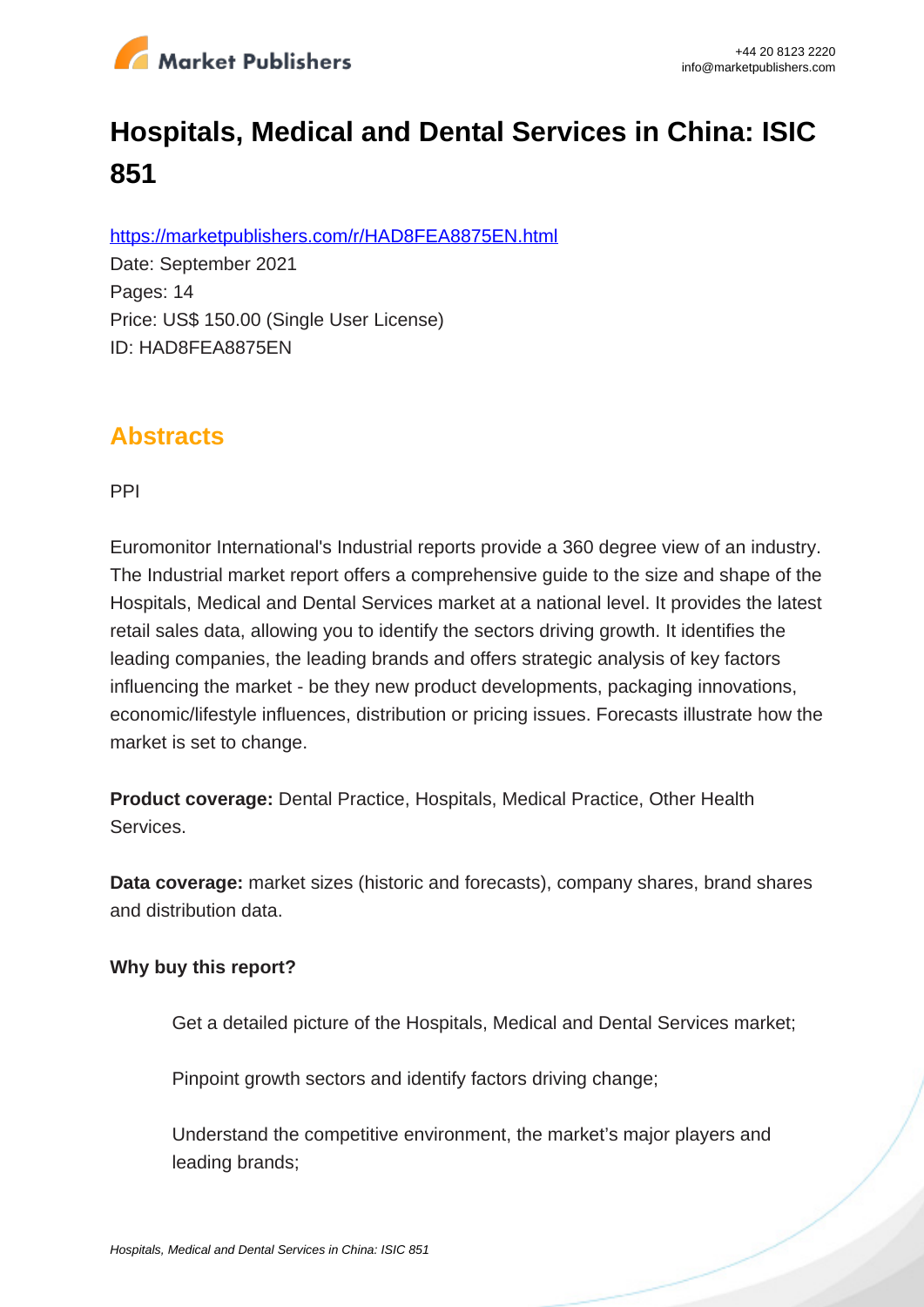

# **Hospitals, Medical and Dental Services in China: ISIC 851**

https://marketpublishers.com/r/HAD8FEA8875EN.html

Date: September 2021 Pages: 14 Price: US\$ 150.00 (Single User License) ID: HAD8FEA8875EN

## **Abstracts**

PPI

Euromonitor International's Industrial reports provide a 360 degree view of an industry. The Industrial market report offers a comprehensive guide to the size and shape of the Hospitals, Medical and Dental Services market at a national level. It provides the latest retail sales data, allowing you to identify the sectors driving growth. It identifies the leading companies, the leading brands and offers strategic analysis of key factors influencing the market - be they new product developments, packaging innovations, economic/lifestyle influences, distribution or pricing issues. Forecasts illustrate how the market is set to change.

**Product coverage:** Dental Practice, Hospitals, Medical Practice, Other Health Services.

**Data coverage:** market sizes (historic and forecasts), company shares, brand shares and distribution data.

#### **Why buy this report?**

Get a detailed picture of the Hospitals, Medical and Dental Services market;

Pinpoint growth sectors and identify factors driving change:

Understand the competitive environment, the market's major players and leading brands;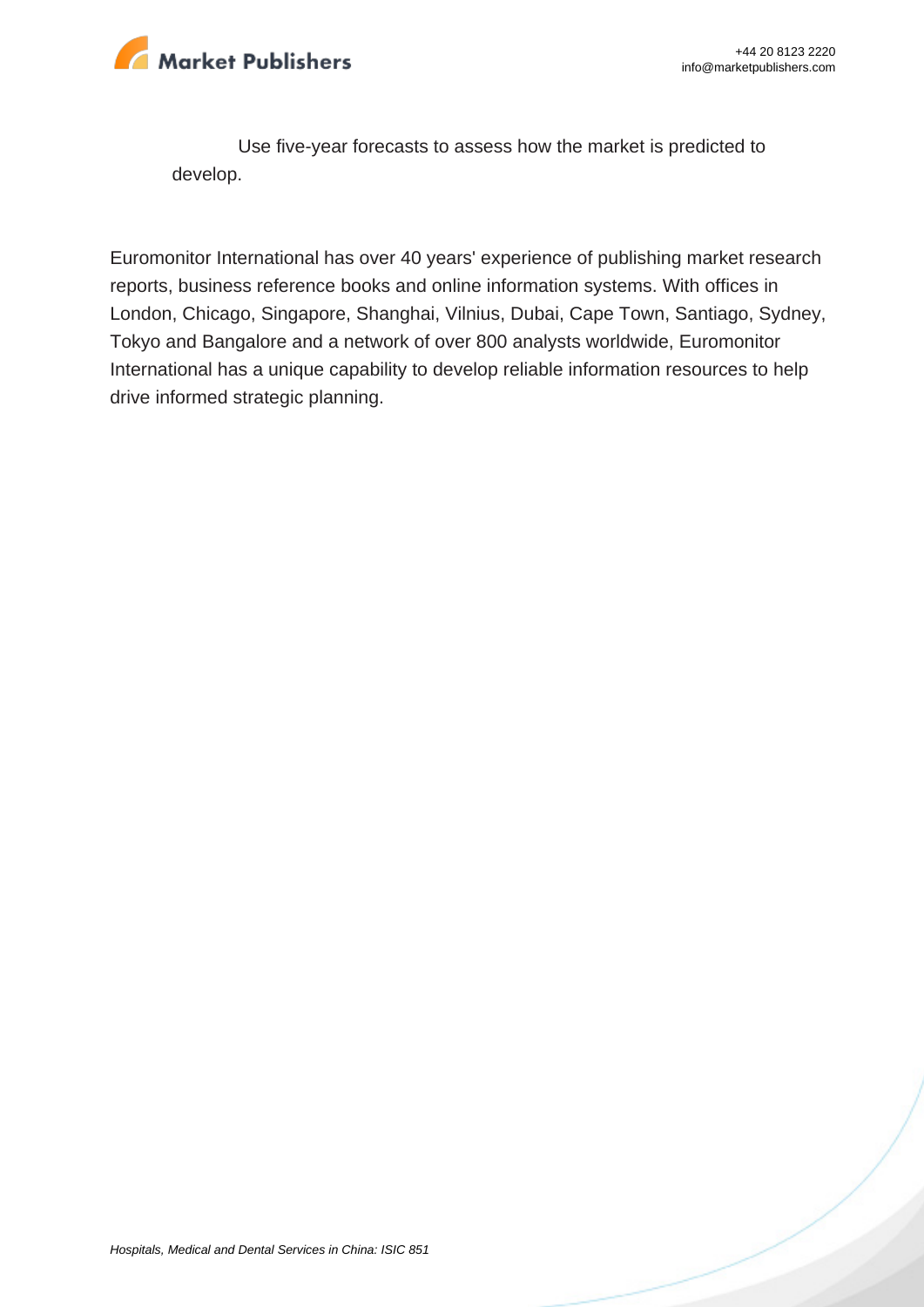

Use five-year forecasts to assess how the market is predicted to develop.

Euromonitor International has over 40 years' experience of publishing market research reports, business reference books and online information systems. With offices in London, Chicago, Singapore, Shanghai, Vilnius, Dubai, Cape Town, Santiago, Sydney, Tokyo and Bangalore and a network of over 800 analysts worldwide, Euromonitor International has a unique capability to develop reliable information resources to help drive informed strategic planning.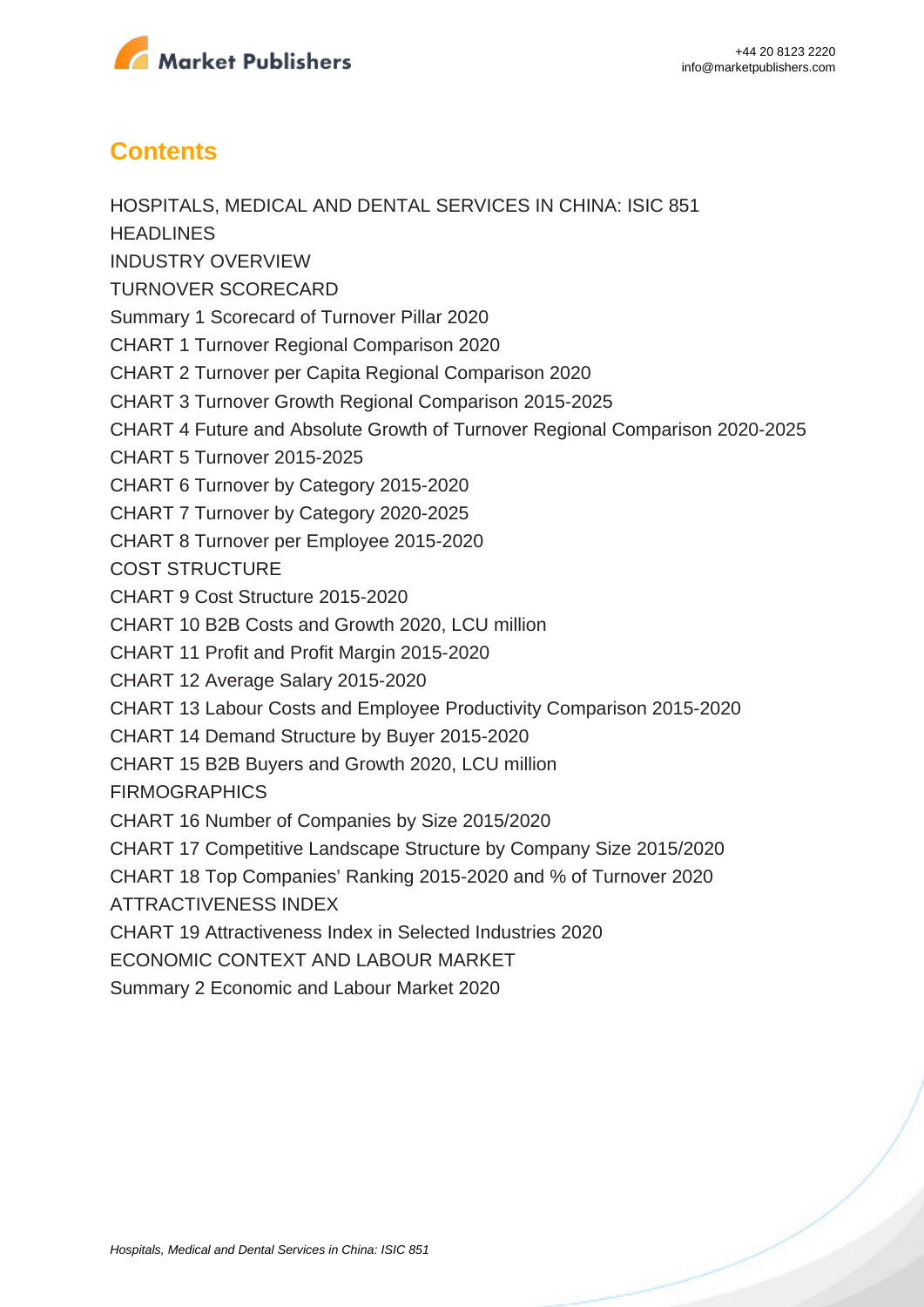

### **Contents**

HOSPITALS, MEDICAL AND DENTAL SERVICES IN CHINA: ISIC 851 **HEADLINES** INDUSTRY OVERVIEW TURNOVER SCORECARD Summary 1 Scorecard of Turnover Pillar 2020 CHART 1 Turnover Regional Comparison 2020 CHART 2 Turnover per Capita Regional Comparison 2020 CHART 3 Turnover Growth Regional Comparison 2015-2025 CHART 4 Future and Absolute Growth of Turnover Regional Comparison 2020-2025 CHART 5 Turnover 2015-2025 CHART 6 Turnover by Category 2015-2020 CHART 7 Turnover by Category 2020-2025 CHART 8 Turnover per Employee 2015-2020 COST STRUCTURE CHART 9 Cost Structure 2015-2020 CHART 10 B2B Costs and Growth 2020, LCU million CHART 11 Profit and Profit Margin 2015-2020 CHART 12 Average Salary 2015-2020 CHART 13 Labour Costs and Employee Productivity Comparison 2015-2020 CHART 14 Demand Structure by Buyer 2015-2020 CHART 15 B2B Buyers and Growth 2020, LCU million **FIRMOGRAPHICS** CHART 16 Number of Companies by Size 2015/2020 CHART 17 Competitive Landscape Structure by Company Size 2015/2020 CHART 18 Top Companies' Ranking 2015-2020 and % of Turnover 2020 ATTRACTIVENESS INDEX CHART 19 Attractiveness Index in Selected Industries 2020 ECONOMIC CONTEXT AND LABOUR MARKET Summary 2 Economic and Labour Market 2020